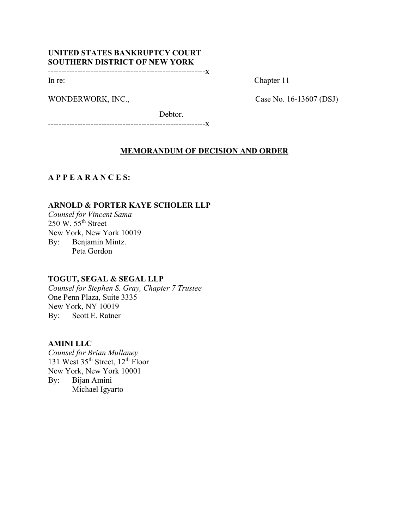# UNITED STATES BANKRUPTCY COURT SOUTHERN DISTRICT OF NEW YORK

-----------------------------------------------------------x

WONDERWORK, INC., Case No. 16-13607 (DSJ)

In re: Chapter 11

Debtor.

-----------------------------------------------------------x

## MEMORANDUM OF DECISION AND ORDER

A P P E A R A N C E S:

### ARNOLD & PORTER KAYE SCHOLER LLP

Counsel for Vincent Sama  $250 \text{ W}$ .  $55^{\text{th}}$  Street New York, New York 10019 By: Benjamin Mintz. Peta Gordon

### TOGUT, SEGAL & SEGAL LLP

Counsel for Stephen S. Gray, Chapter 7 Trustee One Penn Plaza, Suite 3335 New York, NY 10019 By: Scott E. Ratner

## AMINI LLC

Counsel for Brian Mullaney 131 West 35<sup>th</sup> Street, 12<sup>th</sup> Floor New York, New York 10001 By: Bijan Amini Michael Igyarto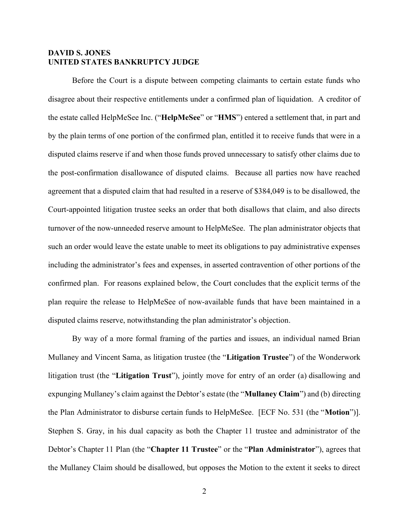## DAVID S. JONES UNITED STATES BANKRUPTCY JUDGE

 Before the Court is a dispute between competing claimants to certain estate funds who disagree about their respective entitlements under a confirmed plan of liquidation. A creditor of the estate called HelpMeSee Inc. ("HelpMeSee" or "HMS") entered a settlement that, in part and by the plain terms of one portion of the confirmed plan, entitled it to receive funds that were in a disputed claims reserve if and when those funds proved unnecessary to satisfy other claims due to the post-confirmation disallowance of disputed claims. Because all parties now have reached agreement that a disputed claim that had resulted in a reserve of \$384,049 is to be disallowed, the Court-appointed litigation trustee seeks an order that both disallows that claim, and also directs turnover of the now-unneeded reserve amount to HelpMeSee. The plan administrator objects that such an order would leave the estate unable to meet its obligations to pay administrative expenses including the administrator's fees and expenses, in asserted contravention of other portions of the confirmed plan. For reasons explained below, the Court concludes that the explicit terms of the plan require the release to HelpMeSee of now-available funds that have been maintained in a disputed claims reserve, notwithstanding the plan administrator's objection.

By way of a more formal framing of the parties and issues, an individual named Brian Mullaney and Vincent Sama, as litigation trustee (the "Litigation Trustee") of the Wonderwork litigation trust (the "Litigation Trust"), jointly move for entry of an order (a) disallowing and expunging Mullaney's claim against the Debtor's estate (the "Mullaney Claim") and (b) directing the Plan Administrator to disburse certain funds to HelpMeSee. [ECF No. 531 (the "Motion")]. Stephen S. Gray, in his dual capacity as both the Chapter 11 trustee and administrator of the Debtor's Chapter 11 Plan (the "Chapter 11 Trustee" or the "Plan Administrator"), agrees that the Mullaney Claim should be disallowed, but opposes the Motion to the extent it seeks to direct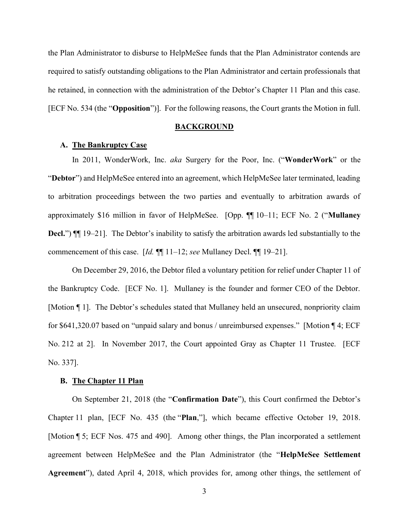the Plan Administrator to disburse to HelpMeSee funds that the Plan Administrator contends are required to satisfy outstanding obligations to the Plan Administrator and certain professionals that he retained, in connection with the administration of the Debtor's Chapter 11 Plan and this case. [ECF No. 534 (the "Opposition")]. For the following reasons, the Court grants the Motion in full.

#### **BACKGROUND**

### A. The Bankruptcy Case

In 2011, WonderWork, Inc. aka Surgery for the Poor, Inc. ("WonderWork" or the "Debtor") and HelpMeSee entered into an agreement, which HelpMeSee later terminated, leading to arbitration proceedings between the two parties and eventually to arbitration awards of approximately \$16 million in favor of HelpMeSee. [Opp. ¶¶ 10–11; ECF No. 2 ("Mullaney Decl.")  $\P$  19–21]. The Debtor's inability to satisfy the arbitration awards led substantially to the commencement of this case. [Id.  $\P$ ] 11–12; see Mullaney Decl.  $\P$ ] 19–21].

On December 29, 2016, the Debtor filed a voluntary petition for relief under Chapter 11 of the Bankruptcy Code. [ECF No. 1]. Mullaney is the founder and former CEO of the Debtor. [Motion ¶ 1]. The Debtor's schedules stated that Mullaney held an unsecured, nonpriority claim for \$641,320.07 based on "unpaid salary and bonus / unreimbursed expenses." [Motion ¶ 4; ECF No. 212 at 2]. In November 2017, the Court appointed Gray as Chapter 11 Trustee. [ECF No. 337].

#### B. The Chapter 11 Plan

On September 21, 2018 (the "Confirmation Date"), this Court confirmed the Debtor's Chapter 11 plan, [ECF No. 435 (the "Plan,"], which became effective October 19, 2018. [Motion ¶ 5; ECF Nos. 475 and 490]. Among other things, the Plan incorporated a settlement agreement between HelpMeSee and the Plan Administrator (the "HelpMeSee Settlement Agreement"), dated April 4, 2018, which provides for, among other things, the settlement of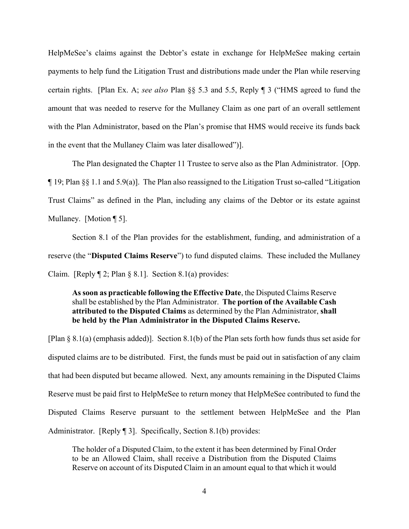HelpMeSee's claims against the Debtor's estate in exchange for HelpMeSee making certain payments to help fund the Litigation Trust and distributions made under the Plan while reserving certain rights. [Plan Ex. A; see also Plan §§ 5.3 and 5.5, Reply ¶ 3 ("HMS agreed to fund the amount that was needed to reserve for the Mullaney Claim as one part of an overall settlement with the Plan Administrator, based on the Plan's promise that HMS would receive its funds back in the event that the Mullaney Claim was later disallowed")].

The Plan designated the Chapter 11 Trustee to serve also as the Plan Administrator. [Opp. ¶ 19; Plan §§ 1.1 and 5.9(a)]. The Plan also reassigned to the Litigation Trust so-called "Litigation Trust Claims" as defined in the Plan, including any claims of the Debtor or its estate against Mullaney. [Motion ¶ 5].

Section 8.1 of the Plan provides for the establishment, funding, and administration of a reserve (the "Disputed Claims Reserve") to fund disputed claims. These included the Mullaney Claim. [Reply  $\mathbb{I}$  2; Plan § 8.1]. Section 8.1(a) provides:

As soon as practicable following the Effective Date, the Disputed Claims Reserve shall be established by the Plan Administrator. The portion of the Available Cash attributed to the Disputed Claims as determined by the Plan Administrator, shall be held by the Plan Administrator in the Disputed Claims Reserve.

[Plan § 8.1(a) (emphasis added)]. Section 8.1(b) of the Plan sets forth how funds thus set aside for disputed claims are to be distributed. First, the funds must be paid out in satisfaction of any claim that had been disputed but became allowed. Next, any amounts remaining in the Disputed Claims Reserve must be paid first to HelpMeSee to return money that HelpMeSee contributed to fund the Disputed Claims Reserve pursuant to the settlement between HelpMeSee and the Plan Administrator. [Reply [91]. Specifically, Section 8.1(b) provides:

The holder of a Disputed Claim, to the extent it has been determined by Final Order to be an Allowed Claim, shall receive a Distribution from the Disputed Claims Reserve on account of its Disputed Claim in an amount equal to that which it would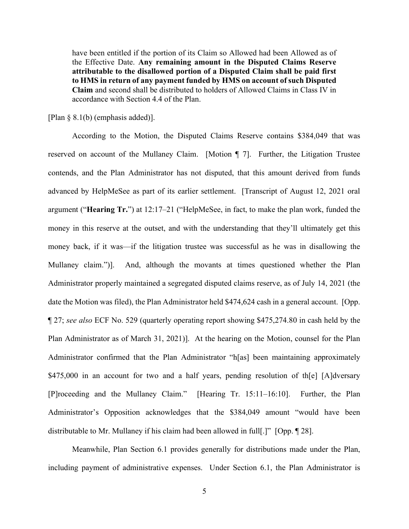have been entitled if the portion of its Claim so Allowed had been Allowed as of the Effective Date. Any remaining amount in the Disputed Claims Reserve attributable to the disallowed portion of a Disputed Claim shall be paid first to HMS in return of any payment funded by HMS on account of such Disputed Claim and second shall be distributed to holders of Allowed Claims in Class IV in accordance with Section 4.4 of the Plan.

[Plan § 8.1(b) (emphasis added)].

According to the Motion, the Disputed Claims Reserve contains \$384,049 that was reserved on account of the Mullaney Claim. [Motion ¶ 7]. Further, the Litigation Trustee contends, and the Plan Administrator has not disputed, that this amount derived from funds advanced by HelpMeSee as part of its earlier settlement. [Transcript of August 12, 2021 oral argument ("Hearing Tr.") at 12:17–21 ("HelpMeSee, in fact, to make the plan work, funded the money in this reserve at the outset, and with the understanding that they'll ultimately get this money back, if it was—if the litigation trustee was successful as he was in disallowing the Mullaney claim.")]. And, although the movants at times questioned whether the Plan Administrator properly maintained a segregated disputed claims reserve, as of July 14, 2021 (the date the Motion was filed), the Plan Administrator held \$474,624 cash in a general account. [Opp. ¶ 27; see also ECF No. 529 (quarterly operating report showing \$475,274.80 in cash held by the Plan Administrator as of March 31, 2021)]. At the hearing on the Motion, counsel for the Plan Administrator confirmed that the Plan Administrator "h[as] been maintaining approximately \$475,000 in an account for two and a half years, pending resolution of the [A]dversary [P]roceeding and the Mullaney Claim." [Hearing Tr. 15:11–16:10]. Further, the Plan Administrator's Opposition acknowledges that the \$384,049 amount "would have been distributable to Mr. Mullaney if his claim had been allowed in full[.]" [Opp. ¶ 28].

 Meanwhile, Plan Section 6.1 provides generally for distributions made under the Plan, including payment of administrative expenses. Under Section 6.1, the Plan Administrator is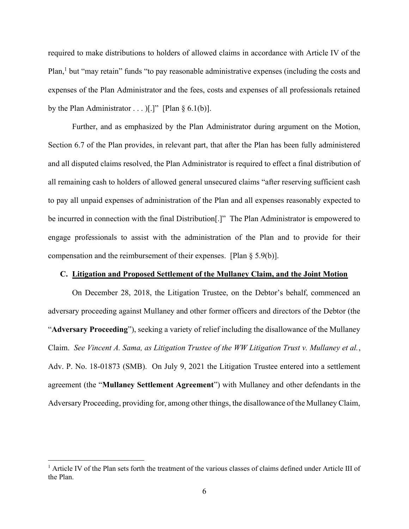required to make distributions to holders of allowed claims in accordance with Article IV of the Plan,<sup>1</sup> but "may retain" funds "to pay reasonable administrative expenses (including the costs and expenses of the Plan Administrator and the fees, costs and expenses of all professionals retained by the Plan Administrator  $\dots$  )[.]" [Plan § 6.1(b)].

 Further, and as emphasized by the Plan Administrator during argument on the Motion, Section 6.7 of the Plan provides, in relevant part, that after the Plan has been fully administered and all disputed claims resolved, the Plan Administrator is required to effect a final distribution of all remaining cash to holders of allowed general unsecured claims "after reserving sufficient cash to pay all unpaid expenses of administration of the Plan and all expenses reasonably expected to be incurred in connection with the final Distribution<sup>[1]</sup>. The Plan Administrator is empowered to engage professionals to assist with the administration of the Plan and to provide for their compensation and the reimbursement of their expenses. [Plan § 5.9(b)].

### C. Litigation and Proposed Settlement of the Mullaney Claim, and the Joint Motion

On December 28, 2018, the Litigation Trustee, on the Debtor's behalf, commenced an adversary proceeding against Mullaney and other former officers and directors of the Debtor (the "Adversary Proceeding"), seeking a variety of relief including the disallowance of the Mullaney Claim. See Vincent A. Sama, as Litigation Trustee of the WW Litigation Trust v. Mullaney et al., Adv. P. No. 18-01873 (SMB). On July 9, 2021 the Litigation Trustee entered into a settlement agreement (the "Mullaney Settlement Agreement") with Mullaney and other defendants in the Adversary Proceeding, providing for, among other things, the disallowance of the Mullaney Claim,

<sup>&</sup>lt;sup>1</sup> Article IV of the Plan sets forth the treatment of the various classes of claims defined under Article III of the Plan.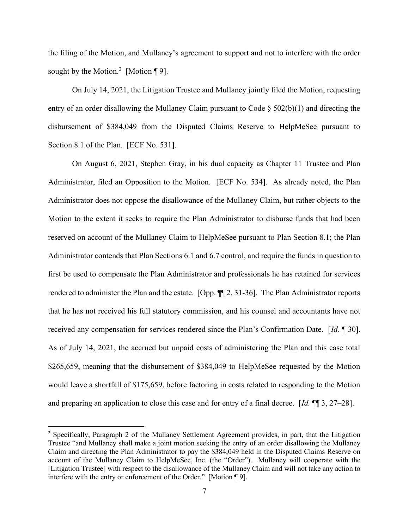the filing of the Motion, and Mullaney's agreement to support and not to interfere with the order sought by the Motion.<sup>2</sup> [Motion ¶ 9].

On July 14, 2021, the Litigation Trustee and Mullaney jointly filed the Motion, requesting entry of an order disallowing the Mullaney Claim pursuant to Code § 502(b)(1) and directing the disbursement of \$384,049 from the Disputed Claims Reserve to HelpMeSee pursuant to Section 8.1 of the Plan. [ECF No. 531].

On August 6, 2021, Stephen Gray, in his dual capacity as Chapter 11 Trustee and Plan Administrator, filed an Opposition to the Motion. [ECF No. 534]. As already noted, the Plan Administrator does not oppose the disallowance of the Mullaney Claim, but rather objects to the Motion to the extent it seeks to require the Plan Administrator to disburse funds that had been reserved on account of the Mullaney Claim to HelpMeSee pursuant to Plan Section 8.1; the Plan Administrator contends that Plan Sections 6.1 and 6.7 control, and require the funds in question to first be used to compensate the Plan Administrator and professionals he has retained for services rendered to administer the Plan and the estate. [Opp. ¶¶ 2, 31-36]. The Plan Administrator reports that he has not received his full statutory commission, and his counsel and accountants have not received any compensation for services rendered since the Plan's Confirmation Date. [Id. ¶ 30]. As of July 14, 2021, the accrued but unpaid costs of administering the Plan and this case total \$265,659, meaning that the disbursement of \$384,049 to HelpMeSee requested by the Motion would leave a shortfall of \$175,659, before factoring in costs related to responding to the Motion and preparing an application to close this case and for entry of a final decree. [Id.  $\P$ ] 3, 27–28].

<sup>&</sup>lt;sup>2</sup> Specifically, Paragraph 2 of the Mullaney Settlement Agreement provides, in part, that the Litigation Trustee "and Mullaney shall make a joint motion seeking the entry of an order disallowing the Mullaney Claim and directing the Plan Administrator to pay the \$384,049 held in the Disputed Claims Reserve on account of the Mullaney Claim to HelpMeSee, Inc. (the "Order"). Mullaney will cooperate with the [Litigation Trustee] with respect to the disallowance of the Mullaney Claim and will not take any action to interfere with the entry or enforcement of the Order." [Motion ¶ 9].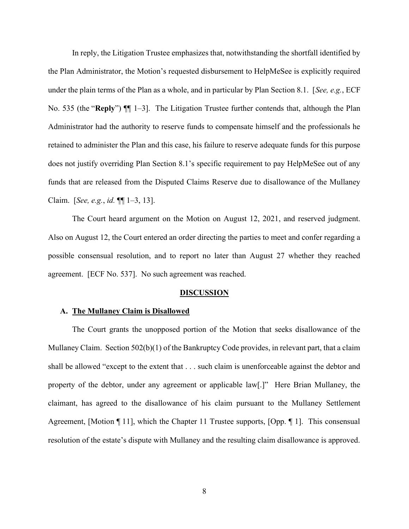In reply, the Litigation Trustee emphasizes that, notwithstanding the shortfall identified by the Plan Administrator, the Motion's requested disbursement to HelpMeSee is explicitly required under the plain terms of the Plan as a whole, and in particular by Plan Section 8.1. [See, e.g., ECF No. 535 (the "Reply")  $\P$  1–3. The Litigation Trustee further contends that, although the Plan Administrator had the authority to reserve funds to compensate himself and the professionals he retained to administer the Plan and this case, his failure to reserve adequate funds for this purpose does not justify overriding Plan Section 8.1's specific requirement to pay HelpMeSee out of any funds that are released from the Disputed Claims Reserve due to disallowance of the Mullaney Claim. [See, e.g., id. ¶¶ 1–3, 13].

The Court heard argument on the Motion on August 12, 2021, and reserved judgment. Also on August 12, the Court entered an order directing the parties to meet and confer regarding a possible consensual resolution, and to report no later than August 27 whether they reached agreement. [ECF No. 537]. No such agreement was reached.

#### DISCUSSION

#### A. The Mullaney Claim is Disallowed

The Court grants the unopposed portion of the Motion that seeks disallowance of the Mullaney Claim. Section 502(b)(1) of the Bankruptcy Code provides, in relevant part, that a claim shall be allowed "except to the extent that . . . such claim is unenforceable against the debtor and property of the debtor, under any agreement or applicable law[.]" Here Brian Mullaney, the claimant, has agreed to the disallowance of his claim pursuant to the Mullaney Settlement Agreement, [Motion ¶ 11], which the Chapter 11 Trustee supports, [Opp. ¶ 1]. This consensual resolution of the estate's dispute with Mullaney and the resulting claim disallowance is approved.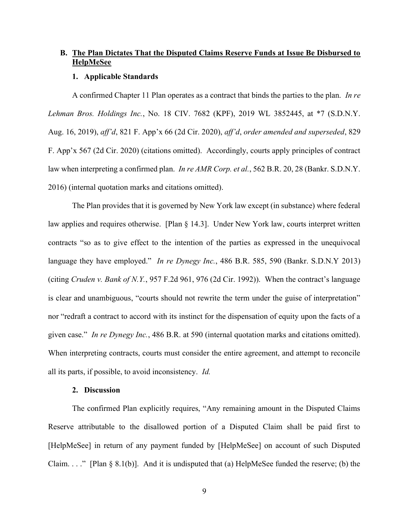# B. The Plan Dictates That the Disputed Claims Reserve Funds at Issue Be Disbursed to **HelpMeSee**

### 1. Applicable Standards

A confirmed Chapter 11 Plan operates as a contract that binds the parties to the plan. In re Lehman Bros. Holdings Inc., No. 18 CIV. 7682 (KPF), 2019 WL 3852445, at \*7 (S.D.N.Y. Aug. 16, 2019), aff'd, 821 F. App'x 66 (2d Cir. 2020), aff'd, order amended and superseded, 829 F. App'x 567 (2d Cir. 2020) (citations omitted). Accordingly, courts apply principles of contract law when interpreting a confirmed plan. In re AMR Corp. et al., 562 B.R. 20, 28 (Bankr. S.D.N.Y.) 2016) (internal quotation marks and citations omitted).

The Plan provides that it is governed by New York law except (in substance) where federal law applies and requires otherwise. [Plan § 14.3]. Under New York law, courts interpret written contracts "so as to give effect to the intention of the parties as expressed in the unequivocal language they have employed." In re Dynegy Inc., 486 B.R. 585, 590 (Bankr. S.D.N.Y 2013) (citing Cruden v. Bank of N.Y., 957 F.2d 961, 976 (2d Cir. 1992)). When the contract's language is clear and unambiguous, "courts should not rewrite the term under the guise of interpretation" nor "redraft a contract to accord with its instinct for the dispensation of equity upon the facts of a given case." In re Dynegy Inc., 486 B.R. at 590 (internal quotation marks and citations omitted). When interpreting contracts, courts must consider the entire agreement, and attempt to reconcile all its parts, if possible, to avoid inconsistency. Id.

### 2. Discussion

The confirmed Plan explicitly requires, "Any remaining amount in the Disputed Claims Reserve attributable to the disallowed portion of a Disputed Claim shall be paid first to [HelpMeSee] in return of any payment funded by [HelpMeSee] on account of such Disputed Claim. . . ." [Plan  $\S 8.1(b)$ ]. And it is undisputed that (a) HelpMeSee funded the reserve; (b) the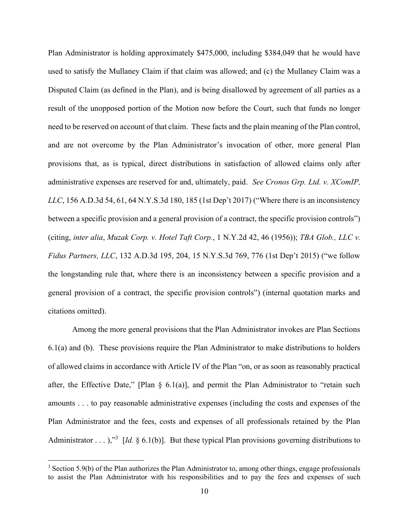Plan Administrator is holding approximately \$475,000, including \$384,049 that he would have used to satisfy the Mullaney Claim if that claim was allowed; and (c) the Mullaney Claim was a Disputed Claim (as defined in the Plan), and is being disallowed by agreement of all parties as a result of the unopposed portion of the Motion now before the Court, such that funds no longer need to be reserved on account of that claim. These facts and the plain meaning of the Plan control, and are not overcome by the Plan Administrator's invocation of other, more general Plan provisions that, as is typical, direct distributions in satisfaction of allowed claims only after administrative expenses are reserved for and, ultimately, paid. See Cronos Grp. Ltd. v. XComIP, LLC, 156 A.D.3d 54, 61, 64 N.Y.S.3d 180, 185 (1st Dep't 2017) ("Where there is an inconsistency between a specific provision and a general provision of a contract, the specific provision controls") (citing, inter alia, Muzak Corp. v. Hotel Taft Corp., 1 N.Y.2d 42, 46 (1956)); TBA Glob., LLC v. Fidus Partners, LLC, 132 A.D.3d 195, 204, 15 N.Y.S.3d 769, 776 (1st Dep't 2015) ("we follow the longstanding rule that, where there is an inconsistency between a specific provision and a general provision of a contract, the specific provision controls") (internal quotation marks and citations omitted).

Among the more general provisions that the Plan Administrator invokes are Plan Sections 6.1(a) and (b). These provisions require the Plan Administrator to make distributions to holders of allowed claims in accordance with Article IV of the Plan "on, or as soon as reasonably practical after, the Effective Date," [Plan  $\S$  6.1(a)], and permit the Plan Administrator to "retain such amounts . . . to pay reasonable administrative expenses (including the costs and expenses of the Plan Administrator and the fees, costs and expenses of all professionals retained by the Plan Administrator . . . ),"<sup>3</sup> [*Id.* § 6.1(b)]. But these typical Plan provisions governing distributions to

 $3$  Section 5.9(b) of the Plan authorizes the Plan Administrator to, among other things, engage professionals to assist the Plan Administrator with his responsibilities and to pay the fees and expenses of such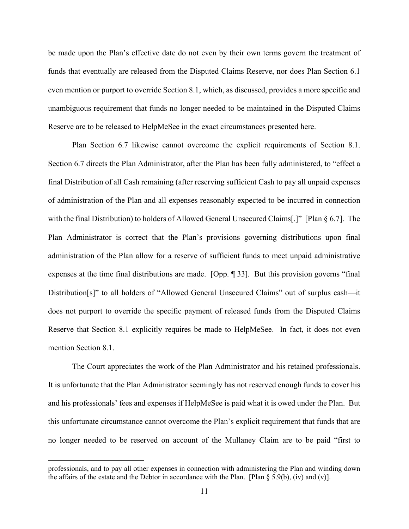be made upon the Plan's effective date do not even by their own terms govern the treatment of funds that eventually are released from the Disputed Claims Reserve, nor does Plan Section 6.1 even mention or purport to override Section 8.1, which, as discussed, provides a more specific and unambiguous requirement that funds no longer needed to be maintained in the Disputed Claims Reserve are to be released to HelpMeSee in the exact circumstances presented here.

Plan Section 6.7 likewise cannot overcome the explicit requirements of Section 8.1. Section 6.7 directs the Plan Administrator, after the Plan has been fully administered, to "effect a final Distribution of all Cash remaining (after reserving sufficient Cash to pay all unpaid expenses of administration of the Plan and all expenses reasonably expected to be incurred in connection with the final Distribution) to holders of Allowed General Unsecured Claims[.]" [Plan  $\S$  6.7]. The Plan Administrator is correct that the Plan's provisions governing distributions upon final administration of the Plan allow for a reserve of sufficient funds to meet unpaid administrative expenses at the time final distributions are made. [Opp. ¶ 33]. But this provision governs "final Distribution[s]" to all holders of "Allowed General Unsecured Claims" out of surplus cash—it does not purport to override the specific payment of released funds from the Disputed Claims Reserve that Section 8.1 explicitly requires be made to HelpMeSee. In fact, it does not even mention Section 8.1.

The Court appreciates the work of the Plan Administrator and his retained professionals. It is unfortunate that the Plan Administrator seemingly has not reserved enough funds to cover his and his professionals' fees and expenses if HelpMeSee is paid what it is owed under the Plan. But this unfortunate circumstance cannot overcome the Plan's explicit requirement that funds that are no longer needed to be reserved on account of the Mullaney Claim are to be paid "first to

professionals, and to pay all other expenses in connection with administering the Plan and winding down the affairs of the estate and the Debtor in accordance with the Plan. [Plan  $\S 5.9(b)$ , (iv) and (v)].